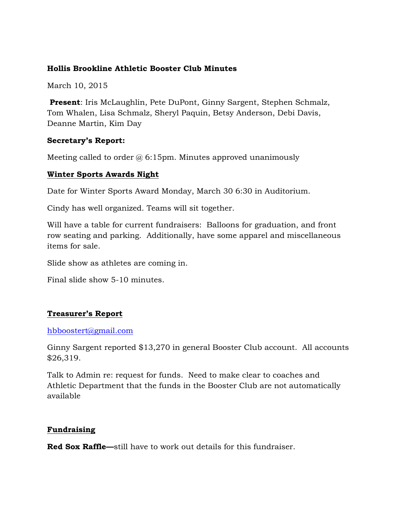### **Hollis Brookline Athletic Booster Club Minutes**

March 10, 2015

**Present**: Iris McLaughlin, Pete DuPont, Ginny Sargent, Stephen Schmalz, Tom Whalen, Lisa Schmalz, Sheryl Paquin, Betsy Anderson, Debi Davis, Deanne Martin, Kim Day

#### **Secretary's Report:**

Meeting called to order  $\omega$  6:15pm. Minutes approved unanimously

#### **Winter Sports Awards Night**

Date for Winter Sports Award Monday, March 30 6:30 in Auditorium.

Cindy has well organized. Teams will sit together.

Will have a table for current fundraisers: Balloons for graduation, and front row seating and parking. Additionally, have some apparel and miscellaneous items for sale.

Slide show as athletes are coming in.

Final slide show 5-10 minutes.

# **Treasurer's Report**

#### hbboostert@gmail.com

Ginny Sargent reported \$13,270 in general Booster Club account. All accounts \$26,319.

Talk to Admin re: request for funds. Need to make clear to coaches and Athletic Department that the funds in the Booster Club are not automatically available

# **Fundraising**

**Red Sox Raffle—**still have to work out details for this fundraiser.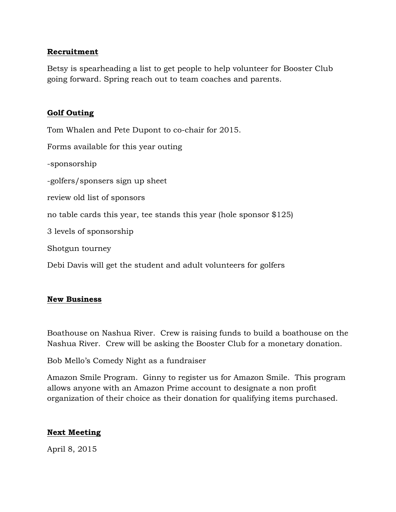# **Recruitment**

Betsy is spearheading a list to get people to help volunteer for Booster Club going forward. Spring reach out to team coaches and parents.

### **Golf Outing**

Tom Whalen and Pete Dupont to co-chair for 2015. Forms available for this year outing -sponsorship -golfers/sponsers sign up sheet review old list of sponsors no table cards this year, tee stands this year (hole sponsor \$125) 3 levels of sponsorship Shotgun tourney Debi Davis will get the student and adult volunteers for golfers

#### **New Business**

Boathouse on Nashua River. Crew is raising funds to build a boathouse on the Nashua River. Crew will be asking the Booster Club for a monetary donation.

Bob Mello's Comedy Night as a fundraiser

Amazon Smile Program. Ginny to register us for Amazon Smile. This program allows anyone with an Amazon Prime account to designate a non profit organization of their choice as their donation for qualifying items purchased.

# **Next Meeting**

April 8, 2015